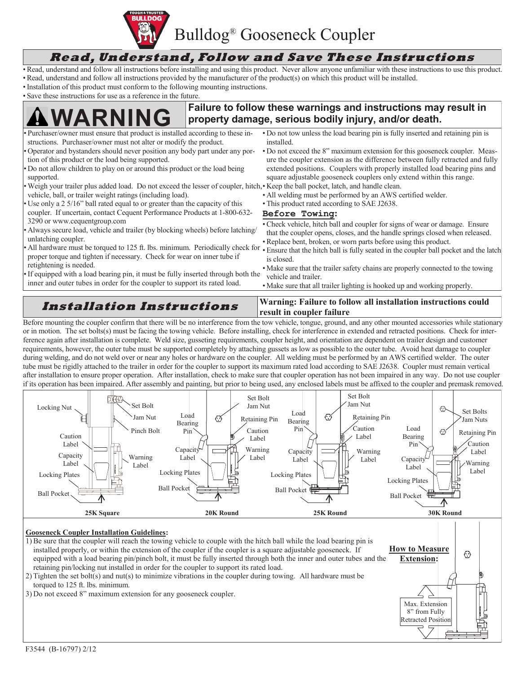

## **Read, Understand, Follow and Save These Instructions**

- •Read, understand and follow all instructions before installing and using this product. Never allow anyone unfamiliar with these instructions to use this product.
- •Read, understand and follow all instructions provided by the manufacturer of the product(s) on which this product will be installed.
- •Installation of this product must conform to the following mounting instructions.
- Save these instructions for use as a reference in the future.

## **Failure to follow these warnings and instructions may result in Purchaser/owner must ensure that product is installed according to these in-** • Do not tow unless the load bearing pin is fully inserted and **product** is installed according to these in- • Do not tow unless the load beari

structions. Purchaser/owner must not alter or modify the product. • Operator and bystanders should never position any body part under any portion of this product or the load being supported. • Do not allow children to play on or around this product or the load being supported. • Weigh your trailer plus added load. Do not exceed the lesser of coupler, hitch, • Keep the ball pocket, latch, and handle clean. vehicle, ball, or trailer weight ratings (including load). Use only a 2 5/16" ball rated equal to or greater than the capacity of this coupler. If uncertain, contact Cequent Performance Products at 1-800-632- 3290 or www.cequentgroup.com • Always secure load, vehicle and trailer (by blocking wheels) before latching/ unlatching coupler. • All hardware must be torqued to 125 ft. lbs. minimum. Periodically check for proper torque and tighten if necessary. Check for wear on inner tube if retightening is needed. If equipped with a load bearing pin, it must be fully inserted through both the inner and outer tubes in order for the coupler to support its rated load. • Do not tow unless the load bearing pin is fully inserted and retaining pin is installed. • Do not exceed the 8" maximum extension for this gooseneck coupler. Measure the coupler extension as the difference between fully retracted and fully extended positions. Couplers with properly installed load bearing pins and square adjustable gooseneck couplers only extend within this range. • All welding must be performed by an AWS certified welder. • This product rated according to SAE J2638. **Before Towing:** •Check vehicle, hitch ball and coupler for signs of wear or damage. Ensure that the coupler opens, closes, and the handle springs closed when released. •Replace bent, broken, or worn parts before using this product. • Ensure that the hitch ball is fully seated in the coupler ball pocket and the latch is closed. • Make sure that the trailer safety chains are properly connected to the towing vehicle and trailer. • Make sure that all trailer lighting is hooked up and working properly. **Installation Instructions Warning: Failure to follow all installation instructions could** 

**result in coupler failure** Before mounting the coupler confirm that there will be no interference from the tow vehicle, tongue, ground, and any other mounted accessories while stationary or in motion. The set bolts(s) must be facing the towing vehicle. Before installing, check for interference in extended and retracted positions. Check for interference again after installation is complete. Weld size, gusseting requirements, coupler height, and orientation are dependent on trailer design and customer requirements, however, the outer tube must be supported completely by attaching gussets as low as possible to the outer tube. Avoid heat damage to coupler during welding, and do not weld over or near any holes or hardware on the coupler. All welding must be performed by an AWS certified welder. The outer tube must be rigidly attached to the trailer in order for the coupler to support its maximum rated load according to SAE J2638. Coupler must remain vertical after installation to ensure proper operation. After installation, check to make sure that coupler operation has not been impaired in any way. Do not use coupler if its operation has been impaired. After assembly and painting, but prior to being used, any enclosed labels must be affixed to the coupler and premask removed.



#### **Gooseneck Coupler Installation Guidelines:**

1)Be sure that the coupler will reach the towing vehicle to couple with the hitch ball while the load bearing pin is installed properly, or within the extension of the coupler if the coupler is a square adjustable gooseneck. If **How to Measure**   $\odot$ equipped with a load bearing pin/pinch bolt, it must be fully inserted through both the inner and outer tubes and the **Extension:** retaining pin/locking nut installed in order for the coupler to support its rated load. 2) Tighten the set bolt(s) and nut(s) to minimize vibrations in the coupler during towing. All hardware must be torqued to 125 ft. lbs. minimum. 3) Do not exceed 8" maximum extension for any gooseneck coupler. Max. Extension 8" from Fully

Retracted Position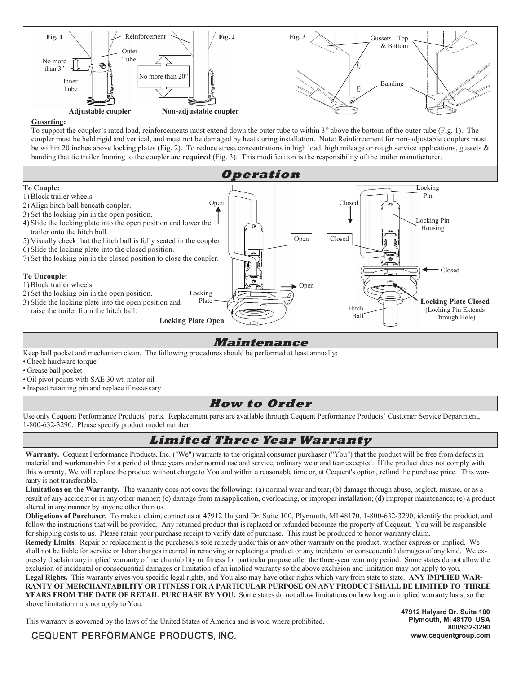

#### **Gusseting:**

To support the coupler's rated load, reinforcements must extend down the outer tube to within 3" above the bottom of the outer tube (Fig. 1). The coupler must be held rigid and vertical, and must not be damaged by heat during installation. Note: Reinforcement for non-adjustable couplers must be within 20 inches above locking plates (Fig. 2). To reduce stress concentrations in high load, high mileage or rough service applications, gussets  $\&$ banding that tie trailer framing to the coupler are **required** (Fig. 3). This modification is the responsibility of the trailer manufacturer.



#### **Maintenance**

Keep ball pocket and mechanism clean. The following procedures should be performed at least annually:

•Check hardware torque

• Grease ball pocket

- Oil pivot points with SAE 30 wt. motor oil
- •Inspect retaining pin and replace if necessary

#### **How to Order**

Use only Cequent Performance Products' parts. Replacement parts are available through Cequent Performance Products' Customer Service Department, 1-800-632-3290. Please specify product model number.

## **Limited Three Year Warranty**

**Warranty.** Cequent Performance Products, Inc. ("We") warrants to the original consumer purchaser ("You") that the product will be free from defects in material and workmanship for a period of three years under normal use and service, ordinary wear and tear excepted. If the product does not comply with this warranty, We will replace the product without charge to You and within a reasonable time or, at Cequent's option, refund the purchase price. This warranty is not transferable.

Limitations on the Warranty. The warranty does not cover the following: (a) normal wear and tear; (b) damage through abuse, neglect, misuse, or as a result of any accident or in any other manner; (c) damage from misapplication, overloading, or improper installation; (d) improper maintenance; (e) a product altered in any manner by anyone other than us.

**Obligations of Purchaser.** To make a claim, contact us at 47912 Halyard Dr. Suite 100, Plymouth, MI 48170, 1-800-632-3290, identify the product, and follow the instructions that will be provided. Any returned product that is replaced or refunded becomes the property of Cequent. You will be responsible for shipping costs to us. Please retain your purchase receipt to verify date of purchase. This must be produced to honor warranty claim.

**Remedy Limits.** Repair or replacement is the purchaser's sole remedy under this or any other warranty on the product, whether express or implied. We shall not be liable for service or labor charges incurred in removing or replacing a product or any incidental or consequential damages of any kind. We expressly disclaim any implied warranty of merchantability or fitness for particular purpose after the three-year warranty period. Some states do not allow the exclusion of incidental or consequential damages or limitation of an implied warranty so the above exclusion and limitation may not apply to you.

**Legal Rights.** This warranty gives you specific legal rights, and You also may have other rights which vary from state to state. **ANY IMPLIED WAR-RANTY OF MERCHANTABILITY OR FITNESS FOR A PARTICULAR PURPOSE ON ANY PRODUCT SHALL BE LIMITED TO THREE YEARS FROM THE DATE OF RETAIL PURCHASE BY YOU.** Some states do not allow limitations on how long an implied warranty lasts, so the above limitation may not apply to You.

This warranty is governed by the laws of the United States of America and is void where prohibited.

**47912 Halyard Dr. Suite 100 Plymouth, MI 48170 USA 800/632-3290 www.cequentgroup.com**

CEQUENT PERFORMANCE PRODUCTS, INC.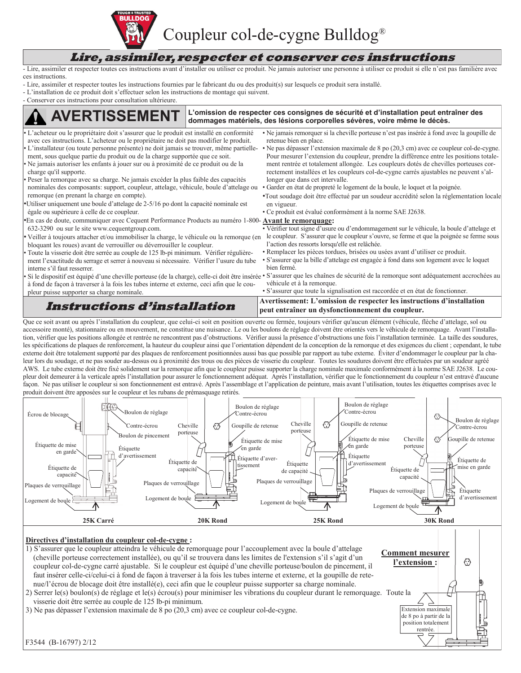

Coupleur col-de-cygne Bulldog®

#### **Lire, assimiler, respecter et conserver ces instructions**

- Lire, assimiler et respecter toutes ces instructions avant d'installer ou utiliser ce produit. Ne jamais autoriser une personne à utiliser ce produit si elle n'est pas familière avec ces instructions.

- Lire, assimiler et respecter toutes les instructions fournies par le fabricant du ou des produit(s) sur lesquels ce produit sera installé.
- L'installation de ce produit doit s'effectuer selon les instructions de montage qui suivent.
- Conserver ces instructions pour consultation ultérieure.

#### **L'ERTISSEMENT** L'omission de respecter ces consignes de sécurité et d'installation peut entraîner des<br>L'ERTISSEMENT dommages matériels, des lésions corporelles sévères, voire même le décès. L'acheteur ou le propriétaire doit s'assurer que le produit est installé en conformité avec ces instructions. L'acheteur ou le propriétaire ne doit pas modifier le produit. • L'installateur (ou toute personne présente) ne doit jamais se trouver, même partiellement, sous quelque partie du produit ou de la charge supportée que ce soit. • Ne jamais autoriser les enfants à jouer sur ou à proximité de ce produit ou de la charge qu'il supporte. Peser la remorque avec sa charge. Ne jamais excéder la plus faible des capacités nominales des composants: support, coupleur, attelage, véhicule, boule d'attelage ou remorque (en prenant la charge en compte). •Utiliser uniquement une boule d'attelage de 2-5/16 po dont la capacité nominale est égale ou supérieure à celle de ce coupleur. •En cas de doute, communiquer avec Cequent Performance Products au numéro 1-800- **Avant le remorquage:** 632-3290 ou sur le site www.cequentgroup.com. • Veiller à toujours attacher et/ou immobiliser la charge, le véhicule ou la remorque (en bloquant les roues) avant de verrouiller ou déverrouiller le coupleur. • Toute la visserie doit être serrée au couple de 125 lb-pi minimum. Vérifier régulièrement l'exactitude du serrage et serrer à nouveau si nécessaire. Vérifier l'usure du tube interne s'il faut resserrer. • Si le dispositif est équipé d'une cheville porteuse (de la charge), celle-ci doit être insérée à fond de façon à traverser à la fois les tubes interne et externe, ceci afin que le coupleur puisse supporter sa charge nominale. • Ne jamais remorquer si la cheville porteuse n'est pas insérée à fond avec la goupille de retenue bien en place. • Ne pas dépasser l'extension maximale de 8 po (20,3 cm) avec ce coupleur col-de-cygne. Pour mesurer l'extension du coupleur, prendre la différence entre les positions totalement rentrée et totalement allongée. Les coupleurs dotés de chevilles porteuses correctement installées et les coupleurs col-de-cygne carrés ajustables ne peuvent s'allonger que dans cet intervalle. • Garder en état de propreté le logement de la boule, le loquet et la poignée. •Tout soudage doit être effectué par un soudeur accrédité selon la réglementation locale en vigueur. • Ce produit est évalué conformément à la norme SAE J2638. • Vérifier tout signe d'usure ou d'endommagement sur le véhicule, la boule d'attelage et le coupleur. S'assurer que le coupleur s'ouvre, se ferme et que la poignée se ferme sous l'action des ressorts lorsqu'elle est relâchée. • Remplacer les pièces tordues, brisées ou usées avant d'utiliser ce produit. • S'assurer que la bille d'attelage est engagée à fond dans son logement avec le loquet bien fermé. • S'assurer que les chaînes de sécurité de la remorque sont adéquatement accrochées au véhicule et à la remorque. • S'assurer que toute la signalisation est raccordée et en état de fonctionner. **Instructions d'installation Avertissement: L'omission de respecter les instructions d'installation peut entraîner un dysfonctionnement du coupleur.**

Que ce soit avant ou après l'installation du coupleur, que celui-ci soit en position ouverte ou fermée, toujours vérifier qu'aucun élément (véhicule, flèche d'attelage, sol ou accessoire monté), stationnaire ou en mouvement, ne constitue une nuisance. Le ou les boulons de réglage doivent être orientés vers le véhicule de remorquage. Avant l'installation, vérifier que les positions allongée et rentrée ne rencontrent pas d'obstructions. Vérifier aussi la présence d'obstructions une fois l'installation terminée. La taille des soudures, les spécifications de plaques de renforcement, la hauteur du coupleur ainsi que l'orientation dépendent de la conception de la remorque et des exigences du client ; cependant, le tube externe doit être totalement supporté par des plaques de renforcement positionnées aussi bas que possible par rapport au tube externe. Éviter d'endommager le coupleur par la chaleur lors du soudage, et ne pas souder au-dessus ou à proximité des trous ou des pièces de visserie du coupleur. Toutes les soudures doivent être effectuées par un soudeur agréé AWS. Le tube externe doit être fixé solidement sur la remorque afin que le coupleur puisse supporter la charge nominale maximale conformément à la norme SAE J2638. Le coupleur doit demeurer à la verticale après l'installation pour assurer le fonctionnement adéquat. Après l'installation, vérifier que le fonctionnement du coupleur n'est entravé d'aucune façon. Ne pas utiliser le coupleur si son fonctionnement est entravé. Après l'assemblage et l'application de peinture, mais avant l'utilisation, toutes les étiquettes comprises avec le produit doivent être apposées sur le coupleur et les rubans de prémasquage retirés.



#### **Directives d'installation du coupleur col-de-cygne :**

1) S'assurer que le coupleur atteindra le véhicule de remorquage pour l'accouplement avec la boule d'attelage (cheville porteuse correctement installée), ou qu'il se trouvera dans les limites de l'extension s'il s'agit d'un coupleur col-de-cygne carré ajustable. Si le coupleur est équipé d'une cheville porteuse/boulon de pincement, il faut insérer celle-ci/celui-ci à fond de façon à traverser à la fois les tubes interne et externe, et la goupille de retenue/l'écrou de blocage doit être installé(e), ceci afin que le coupleur puisse supporter sa charge nominale.

2) Serrer le(s) boulon(s) de réglage et le(s) écrou(s) pour minimiser les vibrations du coupleur durant le remorquage. Toute la visserie doit être serrée au couple de 125 lb-pi minimum.

3) Ne pas dépasser l'extension maximale de 8 po (20,3 cm) avec ce coupleur col-de-cygne.

**Comment mesurer**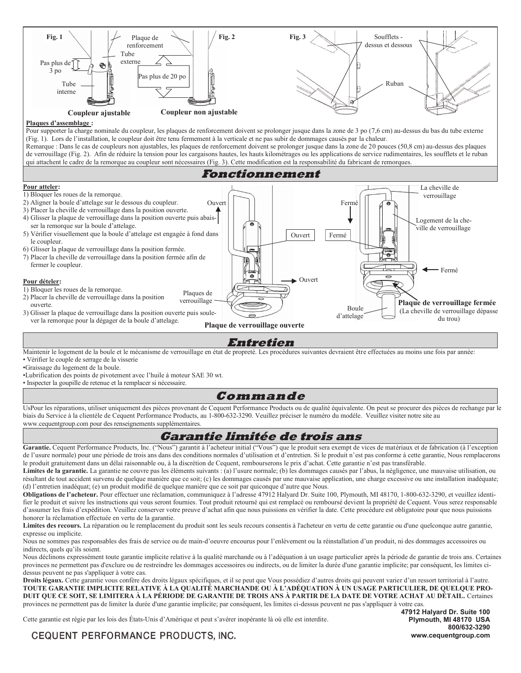

#### **Plaques d'assemblage :**

Pour supporter la charge nominale du coupleur, les plaques de renforcement doivent se prolonger jusque dans la zone de 3 po (7,6 cm) au-dessus du bas du tube externe (Fig. 1). Lors de l'installation, le coupleur doit être tenu fermement à la verticale et ne pas subir de dommages causés par la chaleur. Remarque : Dans le cas de coupleurs non ajustables, les plaques de renforcement doivent se prolonger jusque dans la zone de 20 pouces (50,8 cm) au-dessus des plaques de verrouillage (Fig. 2). Afin de réduire la tension pour les cargaisons hautes, les hauts kilométrages ou les applications de service rudimentaires, les soufflets et le ruban qui attachent le cadre de la remorque au coupleur sont nécessaires (Fig. 3). Cette modification est la responsabilité du fabricant de remorques.



#### **Entretien**

Maintenir le logement de la boule et le mécanisme de verrouillage en état de propreté. Les procédures suivantes devraient être effectuées au moins une fois par année: • Vérifier le couple de serrage de la visserie

•Graissage du logement de la boule.

•Lubrification des points de pivotement avec l'huile à moteur SAE 30 wt.

• Inspecter la goupille de retenue et la remplacer si nécessaire.

#### **Commande**

UsPour les réparations, utiliser uniquement des pièces provenant de Cequent Performance Products ou de qualité équivalente. On peut se procurer des pièces de rechange par le biais du Service à la clientèle de Cequent Performance Products, au 1-800-632-3290. Veuillez préciser le numéro du modèle. Veuillez visiter notre site au www.cequentgroup.com pour des renseignements supplémentaires.

#### **Garantie limitée de trois ans**

Garantie. Cequent Performance Products, Inc. ("Nous") garantit à l'acheteur initial ("Vous") que le produit sera exempt de vices de matériaux et de fabrication (à l'exception de l'usure normale) pour une période de trois ans dans des conditions normales d'utilisation et d'entretien. Si le produit n'est pas conforme à cette garantie, Nous remplacerons le produit gratuitement dans un délai raisonnable ou, à la discrétion de Cequent, rembourserons le prix d'achat. Cette garantie n'est pas transférable.

**Limites de la garantie.** La garantie ne couvre pas les éléments suivants : (a) l'usure normale; (b) les dommages causés par l'abus, la négligence, une mauvaise utilisation, ou résultant de tout accident survenu de quelque manière que ce soit; (c) les dommages causés par une mauvaise application, une charge excessive ou une installation inadéquate; (d) l'entretien inadéquat; (e) un produit modifié de quelque manière que ce soit par quiconque d'autre que Nous.

**Obligations de l'acheteur.** Pour effectuer une réclamation, communiquez à l'adresse 47912 Halyard Dr. Suite 100, Plymouth, MI 48170, 1-800-632-3290, et veuillez identifier le produit et suivre les instructions qui vous seront fournies. Tout produit retourné qui est remplacé ou remboursé devient la propriété de Cequent. Vous serez responsable d'assumer les frais d'expédition. Veuillez conserver votre preuve d'achat afin que nous puissions en vérifier la date. Cette procédure est obligatoire pour que nous puissions honorer la réclamation effectuée en vertu de la garantie.

**Limites des recours.** La réparation ou le remplacement du produit sont les seuls recours consentis à l'acheteur en vertu de cette garantie ou d'une quelconque autre garantie, expresse ou implicite.

Nous ne sommes pas responsables des frais de service ou de main-d'oeuvre encourus pour l'enlèvement ou la réinstallation d'un produit, ni des dommages accessoires ou indirects, quels qu'ils soient.

Nous déclinons expressément toute garantie implicite relative à la qualité marchande ou à l'adéquation à un usage particulier après la période de garantie de trois ans. Certaines provinces ne permettent pas d'exclure ou de restreindre les dommages accessoires ou indirects, ou de limiter la durée d'une garantie implicite; par conséquent, les limites cidessus peuvent ne pas s'appliquer à votre cas.

**Droits légaux.** Cette garantie vous confère des droits légaux spécifiques, et il se peut que Vous possédiez d'autres droits qui peuvent varier d'un ressort territorial à l'autre. **TOUTE GARANTIE IMPLICITE RELATIVE À LA QUALITÉ MARCHANDE OU À L'ADÉQUATION À UN USAGE PARTICULIER, DE QUELQUE PRO-DUIT QUE CE SOIT, SE LIMITERA À LA PÉRIODE DE GARANTIE DE TROIS ANS À PARTIR DE LA DATE DE VOTRE ACHAT AU DÉTAIL.** Certaines provinces ne permettent pas de limiter la durée d'une garantie implicite; par conséquent, les limites ci-dessus peuvent ne pas s'appliquer à votre cas.

Cette garantie est régie par les lois des États-Unis d'Amérique et peut s'avérer inopérante là où elle est interdite.

**47912 Halyard Dr. Suite 100 Plymouth, MI 48170 USA 800/632-3290 www.cequentgroup.com**

## CEQUENT PERFORMANCE PRODUCTS, INC.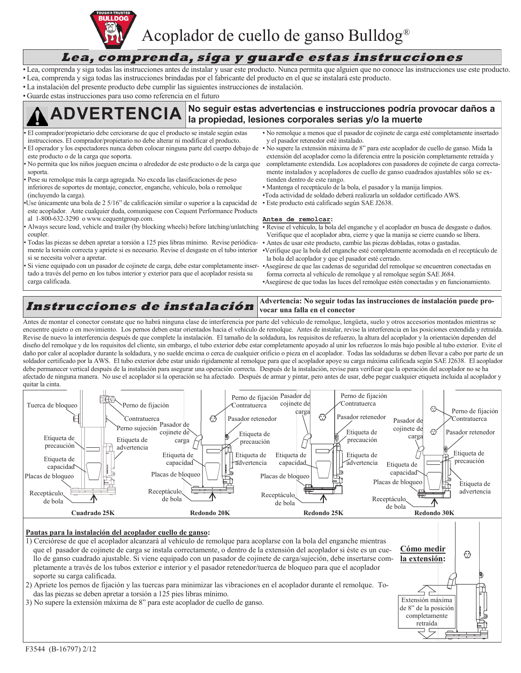

Acoplador de cuello de ganso Bulldog®

## **Lea, comprenda, siga y guarde estas instrucciones**

- Lea, comprenda y siga todas las instrucciones antes de instalar y usar este producto. Nunca permita que alguien que no conoce las instrucciones use este producto.
- Lea, comprenda y siga todas las instrucciones brindadas por el fabricante del producto en el que se instalará este producto.
- La instalación del presente producto debe cumplir las siguientes instrucciones de instalación.

• Guarde estas instrucciones para uso como referencia en el futuro

# No seguir estas advertencias e instrucciones podría provocar daños a la propiedad, lesiones corporales serias y/o la muerte

- El comprador/propietario debe cerciorarse de que el producto se instale según estas instrucciones. El comprador/propietario no debe alterar ni modificar el producto. • El operador y los espectadores nunca deben colocar ninguna parte del cuerpo debajo de
- este producto o de la carga que soporta.
- No permita que los niños jueguen encima o alrededor de este producto o de la carga que soporta.
- Pese su remolque más la carga agregada. No exceda las clasificaciones de peso inferiores de soportes de montaje, conector, enganche, vehículo, bola o remolque (incluyendo la carga).
- •Use únicamente una bola de 2 5/16" de calificación similar o superior a la capacidad de este acoplador. Ante cualquier duda, comuníquese con Cequent Performance Products al 1-800-632-3290 o www.cequentgroup.com.
- Always secure load, vehicle and trailer (by blocking wheels) before latching/unlatching Revise el vehículo, la bola del enganche y el acoplador en busca de desgaste o daños. coupler.
- Todas las piezas se deben apretar a torsión a 125 pies libras mínimo. Revise periódicamente la torsión correcta y apriete si es necesario. Revise el desgaste en el tubo interior si se necesita volver a apretar.
- Si viene equipado con un pasador de cojinete de carga, debe estar completamente insertado a través del perno en los tubos interior y exterior para que el acoplador resista su carga calificada.
- No remolque a menos que el pasador de cojinete de carga esté completamente insertado y el pasador retenedor esté instalado.
- No supere la extensión máxima de 8" para este acoplador de cuello de ganso. Mida la extensión del acoplador como la diferencia entre la posición completamente retraída y completamente extendida. Los acopladores con pasadores de cojinete de carga correctamente instalados y acopladores de cuello de ganso cuadrados ajustables sólo se extienden dentro de este rango.
- Mantenga el receptáculo de la bola, el pasador y la manija limpios.
- •Toda actividad de soldado deberá realizarla un soldador certificado AWS.
- Este producto está calificado según SAE J2638.

#### **Antes de remolcar:**

- Verifique que el acoplador abra, cierre y que la manija se cierre cuando se libera.
- Antes de usar este producto, cambie las piezas dobladas, rotas o gastadas.
- •Verifique que la bola del enganche esté completamente acomodada en el receptáculo de la bola del acoplador y que el pasador esté cerrado.
- •Asegúrese de que las cadenas de seguridad del remolque se encuentren conectadas en forma correcta al vehículo de remolque y al remolque según SAE J684. •Asegúrese de que todas las luces del remolque estén conectadas y en funcionamiento.

**Cómo medir la extensión:**

 $\odot$ 

Extensión máxima de 8" de la posición completamente retraída

ח ר

#### **Instrucciones de instalación Advertencia: No seguir todas las instrucciones de instalación puede provocar una falla en el conector**

Antes de montar el conector constate que no habrá ninguna clase de interferencia por parte del vehículo de remolque, lengüeta, suelo y otros accesorios montados mientras se encuentre quieto o en movimiento. Los pernos deben estar orientados hacia el vehículo de remolque. Antes de instalar, revise la interferencia en las posiciones extendida y retraída. Revise de nuevo la interferencia después de que complete la instalación. El tamaño de la soldadura, los requisitos de refuerzo, la altura del acoplador y la orientación dependen del diseño del remolque y de los requisitos del cliente, sin embargo, el tubo exterior debe estar completamente apoyado al unir los refuerzos lo más bajo posible al tubo exterior. Evite el daño por calor al acoplador durante la soldadura, y no suelde encima o cerca de cualquier orificio o pieza en el acoplador. Todas las soldaduras se deben llevar a cabo por parte de un soldador certificado por la AWS. El tubo exterior debe estar unido rígidamente al remolque para que el acoplador apoye su carga máxima calificada según SAE J2638. El acoplador debe permanecer vertical después de la instalación para asegurar una operación correcta. Después de la instalación, revise para verificar que la operación del acoplador no se ha afectado de ninguna manera. No use el acoplador si la operación se ha afectado. Después de armar y pintar, pero antes de usar, debe pegar cualquier etiqueta incluida al acoplador y quitar la cinta.



#### **Pautas para la instalación del acoplador cuello de ganso:**

1) Cerciórese de que el acoplador alcanzará al vehículo de remolque para acoplarse con la bola del enganche mientras que el pasador de cojinete de carga se instala correctamente, o dentro de la extensión del acoplador si éste es un cuello de ganso cuadrado ajustable. Si viene equipado con un pasador de cojinete de carga/sujeción, debe insertarse completamente a través de los tubos exterior e interior y el pasador retenedor/tuerca de bloqueo para que el acoplador soporte su carga calificada.

- 2) Apriete los pernos de fijación y las tuercas para minimizar las vibraciones en el acoplador durante el remolque. Todas las piezas se deben apretar a torsión a 125 pies libras mínimo.
- 3) No supere la extensión máxima de 8" para este acoplador de cuello de ganso.